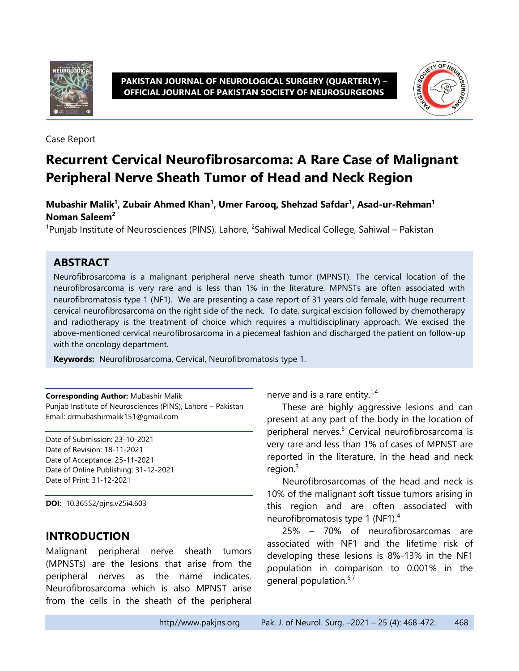

#### **PAKISTAN JOURNAL OF NEUROLOGICAL SURGERY (QUARTERLY) – OFFICIAL JOURNAL OF PAKISTAN SOCIETY OF NEUROSURGEONS**



Case Report

# **Recurrent Cervical Neurofibrosarcoma: A Rare Case of Malignant Peripheral Nerve Sheath Tumor of Head and Neck Region**

**Mubashir Malik<sup>1</sup> , Zubair Ahmed Khan<sup>1</sup> , Umer Farooq, Shehzad Safdar<sup>1</sup> , Asad-ur-Rehman<sup>1</sup> Noman Saleem<sup>2</sup>**

<sup>1</sup>Punjab Institute of Neurosciences (PINS), Lahore, <sup>2</sup>Sahiwal Medical College, Sahiwal – Pakistan

# **ABSTRACT**

Neurofibrosarcoma is a malignant peripheral nerve sheath tumor (MPNST). The cervical location of the neurofibrosarcoma is very rare and is less than 1% in the literature. MPNSTs are often associated with neurofibromatosis type 1 (NF1). We are presenting a case report of 31 years old female, with huge recurrent cervical neurofibrosarcoma on the right side of the neck. To date, surgical excision followed by chemotherapy and radiotherapy is the treatment of choice which requires a multidisciplinary approach. We excised the above-mentioned cervical neurofibrosarcoma in a piecemeal fashion and discharged the patient on follow-up with the oncology department.

**Keywords:** Neurofibrosarcoma, Cervical, Neurofibromatosis type 1.

**Corresponding Author:** Mubashir Malik Punjab Institute of Neurosciences (PINS), Lahore – Pakistan Email: drmubashirmalik151@gmail.com

Date of Submission: 23-10-2021 Date of Revision: 18-11-2021 Date of Acceptance: 25-11-2021 Date of Online Publishing: 31-12-2021 Date of Print: 31-12-2021

**DOI:** 10.36552/pjns.v25i4.603

# **INTRODUCTION**

Malignant peripheral nerve sheath tumors (MPNSTs) are the lesions that arise from the peripheral nerves as the name indicates. Neurofibrosarcoma which is also MPNST arise from the cells in the sheath of the peripheral nerve and is a rare entity. $1.4$ 

These are highly aggressive lesions and can present at any part of the body in the location of peripheral nerves.<sup>5</sup> Cervical neurofibrosarcoma is very rare and less than 1% of cases of MPNST are reported in the literature, in the head and neck region. $3$ 

Neurofibrosarcomas of the head and neck is 10% of the malignant soft tissue tumors arising in this region and are often associated with neurofibromatosis type 1 (NF1).<sup>4</sup>

25% – 70% of neurofibrosarcomas are associated with NF1 and the lifetime risk of developing these lesions is 8%-13% in the NF1 population in comparison to 0.001% in the general population.<sup>6,7</sup>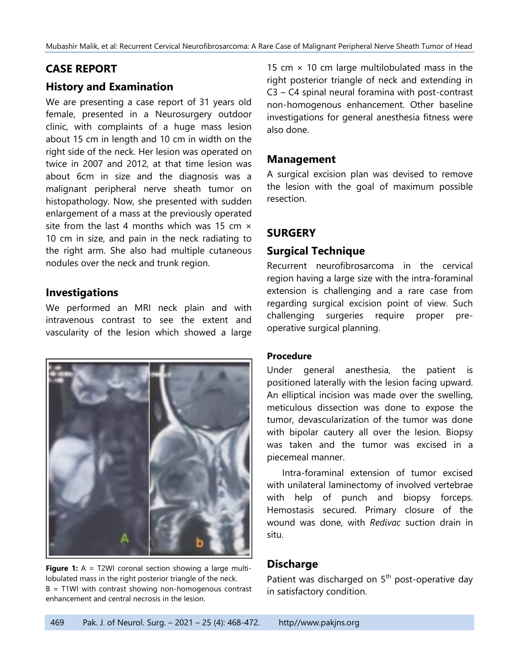# **CASE REPORT**

# **History and Examination**

We are presenting a case report of 31 years old female, presented in a Neurosurgery outdoor clinic, with complaints of a huge mass lesion about 15 cm in length and 10 cm in width on the right side of the neck. Her lesion was operated on twice in 2007 and 2012, at that time lesion was about 6cm in size and the diagnosis was a malignant peripheral nerve sheath tumor on histopathology. Now, she presented with sudden enlargement of a mass at the previously operated site from the last 4 months which was 15 cm  $\times$ 10 cm in size, and pain in the neck radiating to the right arm. She also had multiple cutaneous nodules over the neck and trunk region.

# **Investigations**

We performed an MRI neck plain and with intravenous contrast to see the extent and vascularity of the lesion which showed a large



**Figure 1:** A = T2WI coronal section showing a large multilobulated mass in the right posterior triangle of the neck. B = T1WI with contrast showing non-homogenous contrast enhancement and central necrosis in the lesion.

15 cm  $\times$  10 cm large multilobulated mass in the right posterior triangle of neck and extending in C3 – C4 spinal neural foramina with post-contrast non-homogenous enhancement. Other baseline investigations for general anesthesia fitness were also done.

### **Management**

A surgical excision plan was devised to remove the lesion with the goal of maximum possible resection.

# **SURGERY**

# **Surgical Technique**

Recurrent neurofibrosarcoma in the cervical region having a large size with the intra-foraminal extension is challenging and a rare case from regarding surgical excision point of view. Such challenging surgeries require proper preoperative surgical planning.

### **Procedure**

Under general anesthesia, the patient is positioned laterally with the lesion facing upward. An elliptical incision was made over the swelling, meticulous dissection was done to expose the tumor, devascularization of the tumor was done with bipolar cautery all over the lesion. Biopsy was taken and the tumor was excised in a piecemeal manner.

Intra-foraminal extension of tumor excised with unilateral laminectomy of involved vertebrae with help of punch and biopsy forceps. Hemostasis secured. Primary closure of the wound was done, with *Redivac* suction drain in situ.

# **Discharge**

Patient was discharged on 5<sup>th</sup> post-operative day in satisfactory condition.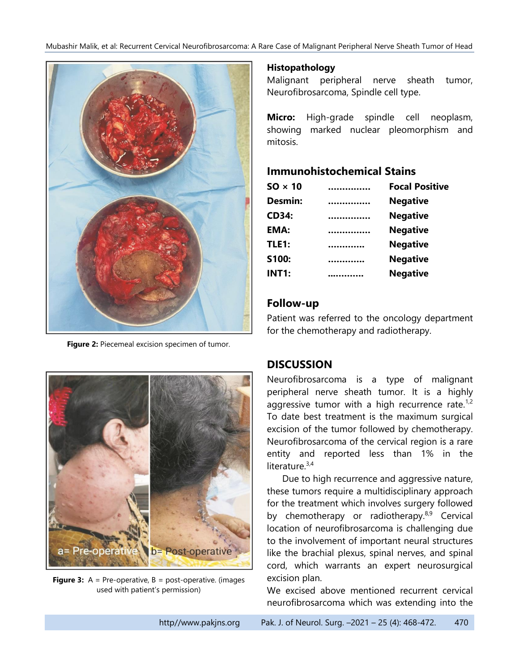Mubashir Malik, et al: Recurrent Cervical Neurofibrosarcoma: A Rare Case of Malignant Peripheral Nerve Sheath Tumor of Head



**Figure 2:** Piecemeal excision specimen of tumor.

#### **Histopathology**

Malignant peripheral nerve sheath tumor, Neurofibrosarcoma, Spindle cell type.

**Micro:** High-grade spindle cell neoplasm, showing marked nuclear pleomorphism and mitosis.

### **Immunohistochemical Stains**

|   | <b>Focal Positive</b> |
|---|-----------------------|
|   | <b>Negative</b>       |
| . | <b>Negative</b>       |
| . | <b>Negative</b>       |
|   | <b>Negative</b>       |
|   | <b>Negative</b>       |
|   | <b>Negative</b>       |
|   |                       |

### **Follow-up**

Patient was referred to the oncology department for the chemotherapy and radiotherapy.



**Figure 3:** A = Pre-operative, B = post-operative. (images used with patient's permission)

# **DISCUSSION**

Neurofibrosarcoma is a type of malignant peripheral nerve sheath tumor. It is a highly aggressive tumor with a high recurrence rate.<sup>1,2</sup> To date best treatment is the maximum surgical excision of the tumor followed by chemotherapy. Neurofibrosarcoma of the cervical region is a rare entity and reported less than 1% in the literature.<sup>3,4</sup>

Due to high recurrence and aggressive nature, these tumors require a multidisciplinary approach for the treatment which involves surgery followed by chemotherapy or radiotherapy. $8,9$  Cervical location of neurofibrosarcoma is challenging due to the involvement of important neural structures like the brachial plexus, spinal nerves, and spinal cord, which warrants an expert neurosurgical excision plan.

We excised above mentioned recurrent cervical neurofibrosarcoma which was extending into the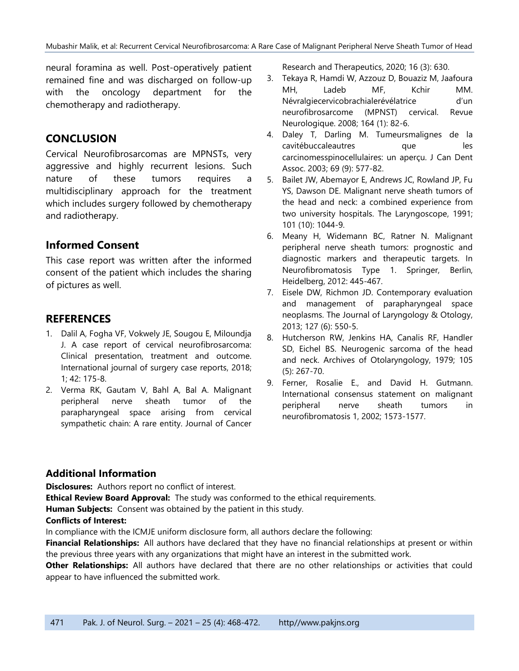neural foramina as well. Post-operatively patient remained fine and was discharged on follow-up with the oncology department for the chemotherapy and radiotherapy.

# **CONCLUSION**

Cervical Neurofibrosarcomas are MPNSTs, very aggressive and highly recurrent lesions. Such nature of these tumors requires a multidisciplinary approach for the treatment which includes surgery followed by chemotherapy and radiotherapy.

# **Informed Consent**

This case report was written after the informed consent of the patient which includes the sharing of pictures as well.

### **REFERENCES**

- 1. Dalil A, Fogha VF, Vokwely JE, Sougou E, Miloundja J. A case report of cervical neurofibrosarcoma: Clinical presentation, treatment and outcome. International journal of surgery case reports, 2018; 1; 42: 175-8.
- 2. Verma RK, Gautam V, Bahl A, Bal A. Malignant peripheral nerve sheath tumor of the parapharyngeal space arising from cervical sympathetic chain: A rare entity. Journal of Cancer

Research and Therapeutics, 2020; 16 (3): 630.

- 3. Tekaya R, Hamdi W, Azzouz D, Bouaziz M, Jaafoura MH, Ladeb MF, Kchir MM. Névralgiecervicobrachialerévélatrice d'un neurofibrosarcome (MPNST) cervical. Revue Neurologique. 2008; 164 (1): 82-6.
- 4. Daley T, Darling M. Tumeursmalignes de la cavitébuccaleautres que les carcinomesspinocellulaires: un aperçu. J Can Dent Assoc. 2003; 69 (9): 577-82.
- 5. Bailet JW, Abemayor E, Andrews JC, Rowland JP, Fu YS, Dawson DE. Malignant nerve sheath tumors of the head and neck: a combined experience from two university hospitals. The Laryngoscope, 1991; 101 (10): 1044-9.
- 6. Meany H, Widemann BC, Ratner N. Malignant peripheral nerve sheath tumors: prognostic and diagnostic markers and therapeutic targets. In Neurofibromatosis Type 1. Springer, Berlin, Heidelberg, 2012: 445-467.
- 7. Eisele DW, Richmon JD. Contemporary evaluation and management of parapharyngeal space neoplasms. The Journal of Laryngology & Otology, 2013; 127 (6): 550-5.
- 8. Hutcherson RW, Jenkins HA, Canalis RF, Handler SD, Eichel BS. Neurogenic sarcoma of the head and neck. Archives of Otolaryngology, 1979; 105 (5): 267-70.
- 9. Ferner, Rosalie E., and David H. Gutmann. International consensus statement on malignant peripheral nerve sheath tumors in neurofibromatosis 1, 2002; 1573-1577.

### **Additional Information**

**Disclosures:** Authors report no conflict of interest.

**Ethical Review Board Approval:** The study was conformed to the ethical requirements.

**Human Subjects:** Consent was obtained by the patient in this study.

#### **Conflicts of Interest:**

In compliance with the ICMJE uniform disclosure form, all authors declare the following:

**Financial Relationships:** All authors have declared that they have no financial relationships at present or within the previous three years with any organizations that might have an interest in the submitted work.

**Other Relationships:** All authors have declared that there are no other relationships or activities that could appear to have influenced the submitted work.